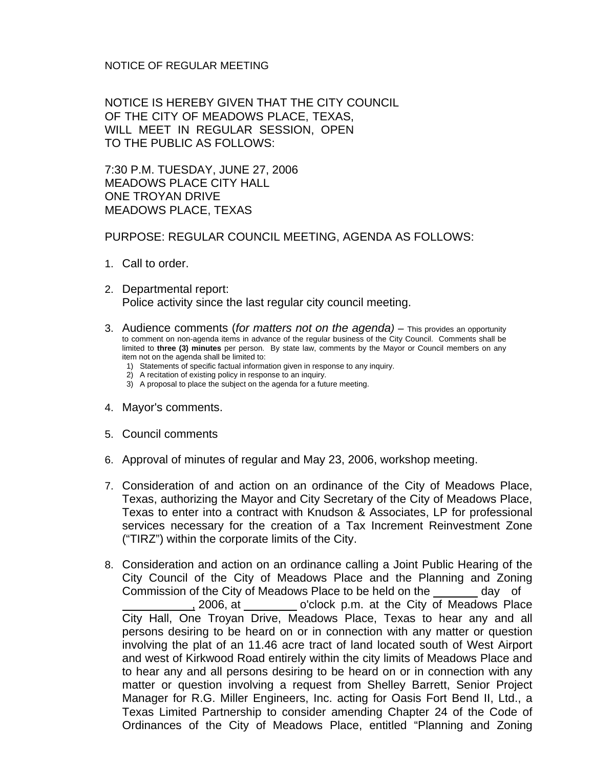## NOTICE OF REGULAR MEETING

NOTICE IS HEREBY GIVEN THAT THE CITY COUNCIL OF THE CITY OF MEADOWS PLACE, TEXAS, WILL MEET IN REGULAR SESSION, OPEN TO THE PUBLIC AS FOLLOWS:

7:30 P.M. TUESDAY, JUNE 27, 2006 MEADOWS PLACE CITY HALL ONE TROYAN DRIVE MEADOWS PLACE, TEXAS

PURPOSE: REGULAR COUNCIL MEETING, AGENDA AS FOLLOWS:

- 1. Call to order.
- 2. Departmental report: Police activity since the last regular city council meeting.
- 3. Audience comments (*for matters not on the agenda)* This provides an opportunity to comment on non-agenda items in advance of the regular business of the City Council. Comments shall be limited to **three (3) minutes** per person. By state law, comments by the Mayor or Council members on any item not on the agenda shall be limited to:
	- 1) Statements of specific factual information given in response to any inquiry.
	- 2) A recitation of existing policy in response to an inquiry.
	- 3) A proposal to place the subject on the agenda for a future meeting.
- 4. Mayor's comments.
- 5. Council comments
- 6. Approval of minutes of regular and May 23, 2006, workshop meeting.
- 7. Consideration of and action on an ordinance of the City of Meadows Place, Texas, authorizing the Mayor and City Secretary of the City of Meadows Place, Texas to enter into a contract with Knudson & Associates, LP for professional services necessary for the creation of a Tax Increment Reinvestment Zone ("TIRZ") within the corporate limits of the City.
- 8. Consideration and action on an ordinance calling a Joint Public Hearing of the City Council of the City of Meadows Place and the Planning and Zoning Commission of the City of Meadows Place to be held on the day of , 2006, at \_\_\_\_\_\_\_\_\_\_ o'clock p.m. at the City of Meadows Place City Hall, One Troyan Drive, Meadows Place, Texas to hear any and all persons desiring to be heard on or in connection with any matter or question involving the plat of an 11.46 acre tract of land located south of West Airport and west of Kirkwood Road entirely within the city limits of Meadows Place and to hear any and all persons desiring to be heard on or in connection with any matter or question involving a request from Shelley Barrett, Senior Project Manager for R.G. Miller Engineers, Inc. acting for Oasis Fort Bend II, Ltd., a Texas Limited Partnership to consider amending Chapter 24 of the Code of Ordinances of the City of Meadows Place, entitled "Planning and Zoning